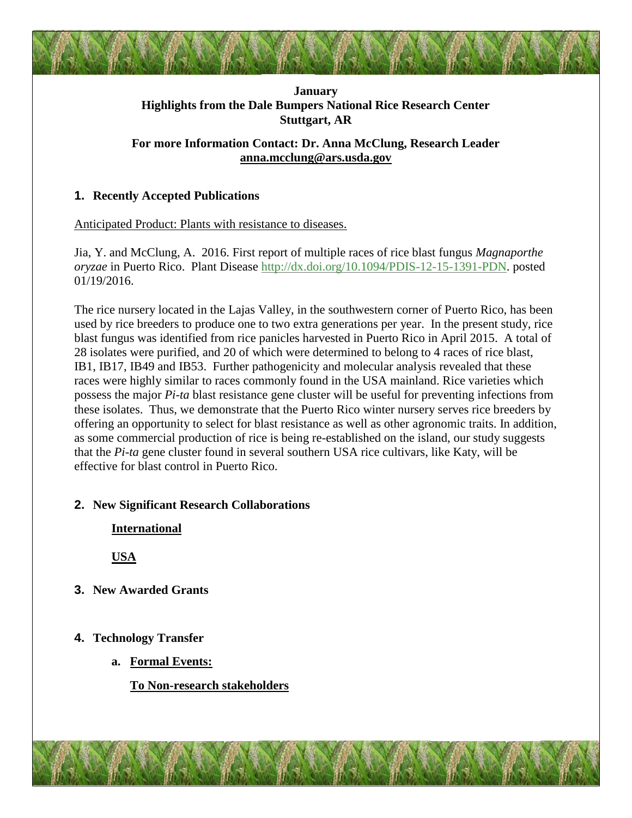## **January Highlights from the Dale Bumpers National Rice Research Center Stuttgart, AR**

## **For more Information Contact: Dr. Anna McClung, Research Leader [anna.mcclung@ars.usda.gov](mailto:anna.mcclung@ars.usda.gov)**

# **1. Recently Accepted Publications**

Anticipated Product: Plants with resistance to diseases.

Jia, Y. and McClung, A. 2016. First report of multiple races of rice blast fungus *Magnaporthe oryzae* in Puerto Rico. Plant Disease [http://dx.doi.org/10.1094/PDIS-12-15-1391-PDN.](http://dx.doi.org/10.1094/PDIS-12-15-1391-PDN) posted 01/19/2016.

The rice nursery located in the Lajas Valley, in the southwestern corner of Puerto Rico, has been used by rice breeders to produce one to two extra generations per year. In the present study, rice blast fungus was identified from rice panicles harvested in Puerto Rico in April 2015. A total of 28 isolates were purified, and 20 of which were determined to belong to 4 races of rice blast, IB1, IB17, IB49 and IB53. Further pathogenicity and molecular analysis revealed that these races were highly similar to races commonly found in the USA mainland. Rice varieties which possess the major *Pi-ta* blast resistance gene cluster will be useful for preventing infections from these isolates. Thus, we demonstrate that the Puerto Rico winter nursery serves rice breeders by offering an opportunity to select for blast resistance as well as other agronomic traits. In addition, as some commercial production of rice is being re-established on the island, our study suggests that the *Pi-ta* gene cluster found in several southern USA rice cultivars, like Katy, will be effective for blast control in Puerto Rico.

### **2. New Significant Research Collaborations**

**International**

**USA**

**3. New Awarded Grants**

# **4. Technology Transfer**

**a. Formal Events:**

**To Non-research stakeholders**